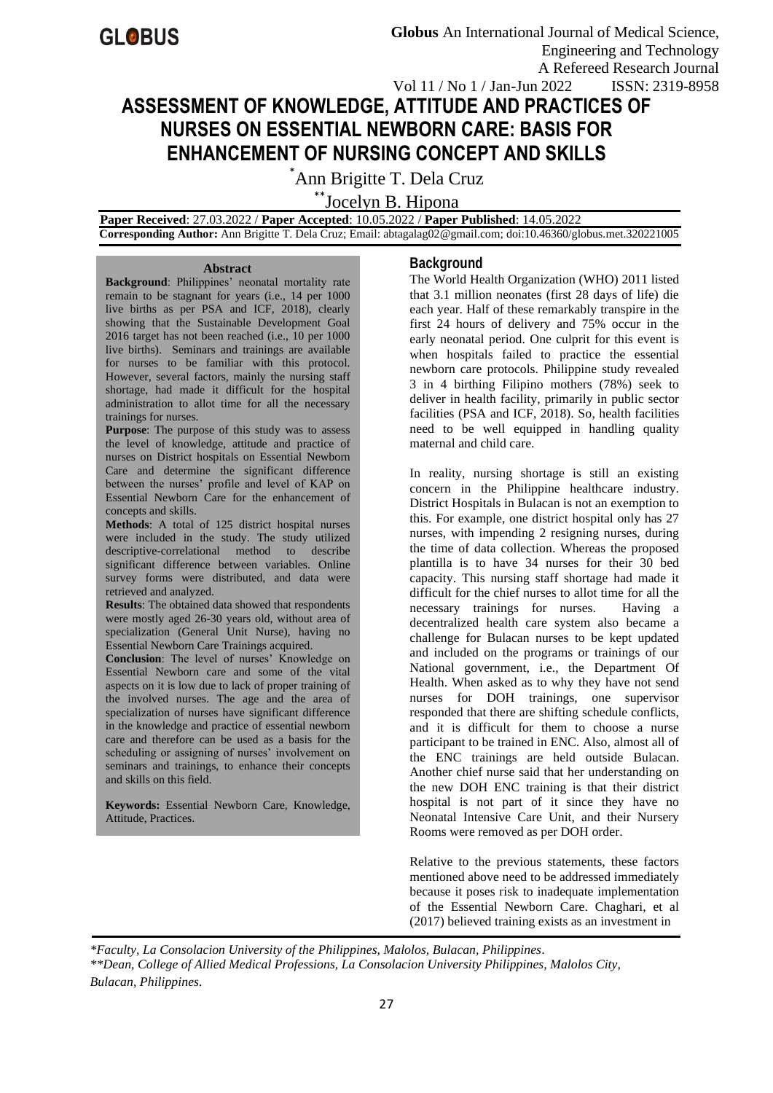# **ASSESSMENT OF KNOWLEDGE, ATTITUDE AND PRACTICES OF NURSES ON ESSENTIAL NEWBORN CARE: BASIS FOR ENHANCEMENT OF NURSING CONCEPT AND SKILLS**

\*Ann Brigitte T. Dela Cruz

\*\*Jocelyn B. Hipona

 **Paper Received**: 27.03.2022 / **Paper Accepted**: 10.05.2022 / **Paper Published**: 14.05.2022  **Corresponding Author:** Ann Brigitte T. Dela Cruz; Email: abtagalag02@gmail.com; doi:10.46360/globus.met.320221005

#### **Abstract**

**Background**: Philippines' neonatal mortality rate remain to be stagnant for years (i.e., 14 per 1000 live births as per PSA and ICF, 2018), clearly showing that the Sustainable Development Goal 2016 target has not been reached (i.e., 10 per 1000 live births). Seminars and trainings are available for nurses to be familiar with this protocol. However, several factors, mainly the nursing staff shortage, had made it difficult for the hospital administration to allot time for all the necessary trainings for nurses.

**Purpose:** The purpose of this study was to assess the level of knowledge, attitude and practice of nurses on District hospitals on Essential Newborn Care and determine the significant difference between the nurses' profile and level of KAP on Essential Newborn Care for the enhancement of concepts and skills.

**Methods**: A total of 125 district hospital nurses were included in the study. The study utilized descriptive-correlational method to describe significant difference between variables. Online survey forms were distributed, and data were retrieved and analyzed.

**Results**: The obtained data showed that respondents were mostly aged 26-30 years old, without area of specialization (General Unit Nurse), having no Essential Newborn Care Trainings acquired.

**Conclusion**: The level of nurses' Knowledge on Essential Newborn care and some of the vital aspects on it is low due to lack of proper training of the involved nurses. The age and the area of specialization of nurses have significant difference in the knowledge and practice of essential newborn care and therefore can be used as a basis for the scheduling or assigning of nurses' involvement on seminars and trainings, to enhance their concepts and skills on this field.

**Keywords:** Essential Newborn Care, Knowledge, Attitude, Practices.

## **Background**

The World Health Organization (WHO) 2011 listed that 3.1 million neonates (first 28 days of life) die each year. Half of these remarkably transpire in the first 24 hours of delivery and 75% occur in the early neonatal period. One culprit for this event is when hospitals failed to practice the essential newborn care protocols. Philippine study revealed 3 in 4 birthing Filipino mothers (78%) seek to deliver in health facility, primarily in public sector facilities (PSA and ICF, 2018). So, health facilities need to be well equipped in handling quality maternal and child care.

In reality, nursing shortage is still an existing concern in the Philippine healthcare industry. District Hospitals in Bulacan is not an exemption to this. For example, one district hospital only has 27 nurses, with impending 2 resigning nurses, during the time of data collection. Whereas the proposed plantilla is to have 34 nurses for their 30 bed capacity. This nursing staff shortage had made it difficult for the chief nurses to allot time for all the necessary trainings for nurses. Having a decentralized health care system also became a challenge for Bulacan nurses to be kept updated and included on the programs or trainings of our National government, i.e., the Department Of Health. When asked as to why they have not send nurses for DOH trainings, one supervisor responded that there are shifting schedule conflicts, and it is difficult for them to choose a nurse participant to be trained in ENC. Also, almost all of the ENC trainings are held outside Bulacan. Another chief nurse said that her understanding on the new DOH ENC training is that their district hospital is not part of it since they have no Neonatal Intensive Care Unit, and their Nursery Rooms were removed as per DOH order.

Relative to the previous statements, these factors mentioned above need to be addressed immediately because it poses risk to inadequate implementation of the Essential Newborn Care. Chaghari, et al (2017) believed training exists as an investment in

*\*Faculty, La Consolacion University of the Philippines, Malolos, Bulacan, Philippines. \*\*Dean, College of Allied Medical Professions, La Consolacion University Philippines, Malolos City, Bulacan, Philippines.*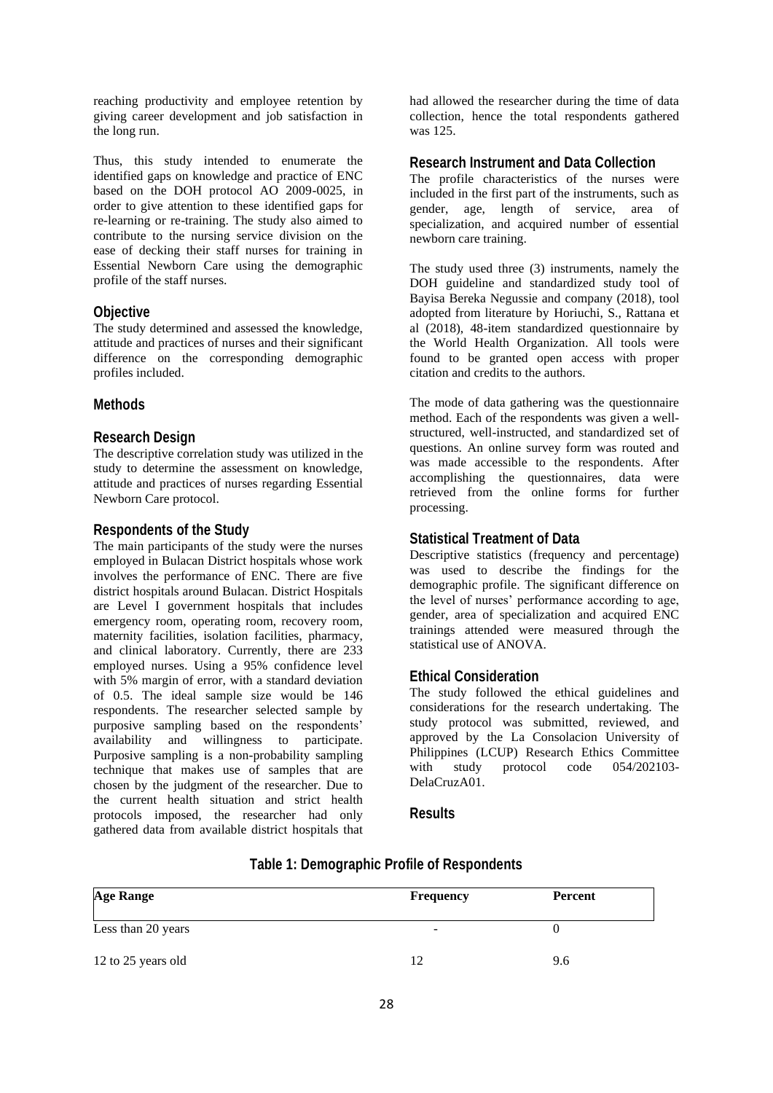reaching productivity and employee retention by giving career development and job satisfaction in the long run.

Thus, this study intended to enumerate the identified gaps on knowledge and practice of ENC based on the DOH protocol AO 2009-0025, in order to give attention to these identified gaps for re-learning or re-training. The study also aimed to contribute to the nursing service division on the ease of decking their staff nurses for training in Essential Newborn Care using the demographic profile of the staff nurses.

## **Objective**

The study determined and assessed the knowledge, attitude and practices of nurses and their significant difference on the corresponding demographic profiles included.

## **Methods**

## **Research Design**

The descriptive correlation study was utilized in the study to determine the assessment on knowledge, attitude and practices of nurses regarding Essential Newborn Care protocol.

#### **Respondents of the Study**

The main participants of the study were the nurses employed in Bulacan District hospitals whose work involves the performance of ENC. There are five district hospitals around Bulacan. District Hospitals are Level I government hospitals that includes emergency room, operating room, recovery room, maternity facilities, isolation facilities, pharmacy, and clinical laboratory. Currently, there are 233 employed nurses. Using a 95% confidence level with 5% margin of error, with a standard deviation of 0.5. The ideal sample size would be 146 respondents. The researcher selected sample by purposive sampling based on the respondents' availability and willingness to participate. Purposive sampling is a non-probability sampling technique that makes use of samples that are chosen by the judgment of the researcher. Due to the current health situation and strict health protocols imposed, the researcher had only gathered data from available district hospitals that had allowed the researcher during the time of data collection, hence the total respondents gathered was 125.

## **Research Instrument and Data Collection**

The profile characteristics of the nurses were included in the first part of the instruments, such as gender, age, length of service, area of specialization, and acquired number of essential newborn care training.

The study used three (3) instruments, namely the DOH guideline and standardized study tool of Bayisa Bereka Negussie and company (2018), tool adopted from literature by Horiuchi, S., Rattana et al (2018), 48-item standardized questionnaire by the World Health Organization. All tools were found to be granted open access with proper citation and credits to the authors.

The mode of data gathering was the questionnaire method. Each of the respondents was given a wellstructured, well-instructed, and standardized set of questions. An online survey form was routed and was made accessible to the respondents. After accomplishing the questionnaires, data were retrieved from the online forms for further processing.

## **Statistical Treatment of Data**

Descriptive statistics (frequency and percentage) was used to describe the findings for the demographic profile. The significant difference on the level of nurses' performance according to age, gender, area of specialization and acquired ENC trainings attended were measured through the statistical use of ANOVA.

## **Ethical Consideration**

The study followed the ethical guidelines and considerations for the research undertaking. The study protocol was submitted, reviewed, and approved by the La Consolacion University of Philippines (LCUP) Research Ethics Committee with study protocol code 054/202103- DelaCruzA01.

## **Results**

| <b>Age Range</b>   | <b>Frequency</b> | Percent |
|--------------------|------------------|---------|
| Less than 20 years | ۰                |         |
| 12 to 25 years old | 12               | 9.6     |

## **Table 1: Demographic Profile of Respondents**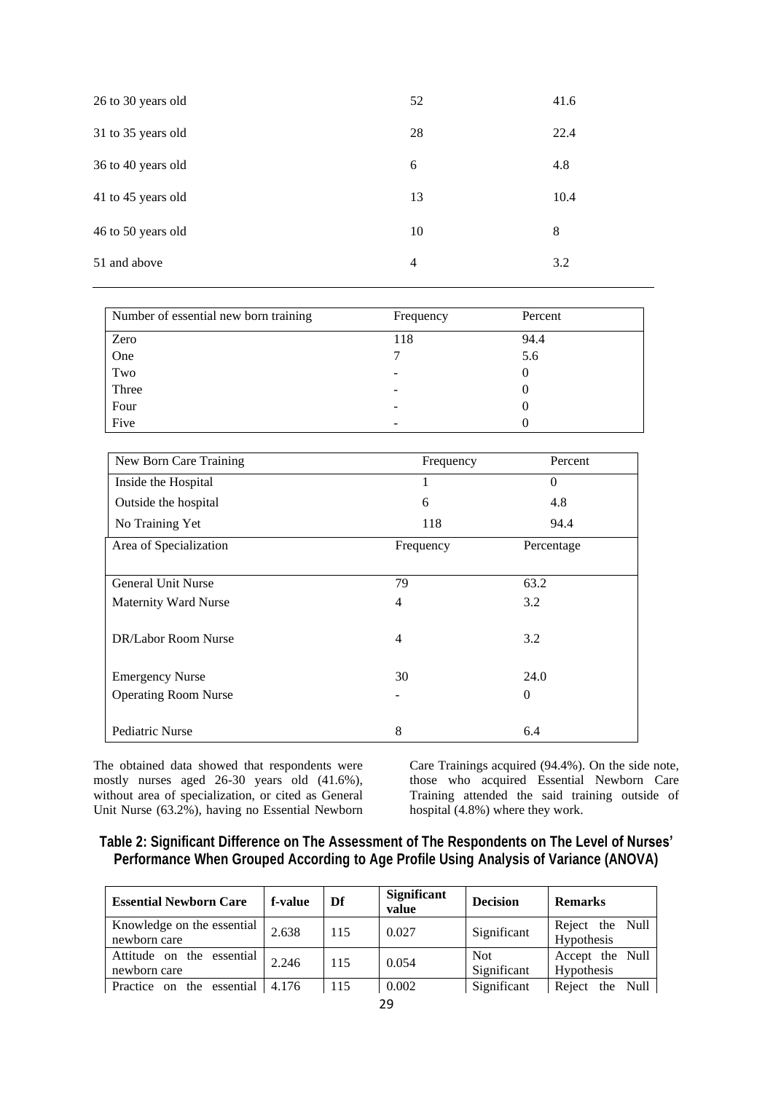| 26 to 30 years old | 52 | 41.6 |
|--------------------|----|------|
| 31 to 35 years old | 28 | 22.4 |
| 36 to 40 years old | 6  | 4.8  |
| 41 to 45 years old | 13 | 10.4 |
| 46 to 50 years old | 10 | 8    |
| 51 and above       | 4  | 3.2  |

| Number of essential new born training | Frequency | Percent |
|---------------------------------------|-----------|---------|
| Zero                                  | 118       | 94.4    |
| One                                   |           | 5.6     |
| Two                                   |           |         |
| Three                                 |           |         |
| Four                                  |           |         |
| Five                                  |           |         |

| New Born Care Training      | Frequency | Percent    |
|-----------------------------|-----------|------------|
| Inside the Hospital         | 1         | $\Omega$   |
| Outside the hospital        | 6         | 4.8        |
| No Training Yet             | 118       | 94.4       |
| Area of Specialization      | Frequency | Percentage |
|                             |           |            |
| <b>General Unit Nurse</b>   | 79        | 63.2       |
| Maternity Ward Nurse        | 4         | 3.2        |
|                             |           |            |
| DR/Labor Room Nurse         | 4         | 3.2        |
|                             |           |            |
| <b>Emergency Nurse</b>      | 30        | 24.0       |
| <b>Operating Room Nurse</b> |           | $\Omega$   |
|                             |           |            |
| Pediatric Nurse             | 8         | 6.4        |

The obtained data showed that respondents were mostly nurses aged 26-30 years old (41.6%), without area of specialization, or cited as General Unit Nurse (63.2%), having no Essential Newborn Care Trainings acquired (94.4%). On the side note, those who acquired Essential Newborn Care Training attended the said training outside of hospital (4.8%) where they work.

## **Table 2: Significant Difference on The Assessment of The Respondents on The Level of Nurses' Performance When Grouped According to Age Profile Using Analysis of Variance (ANOVA)**

| <b>Essential Newborn Care</b>              | f-value | Df  | Significant<br>value | <b>Decision</b>    | <b>Remarks</b>                       |
|--------------------------------------------|---------|-----|----------------------|--------------------|--------------------------------------|
| Knowledge on the essential<br>newborn care | 2.638   | 115 | 0.027                | Significant        | Reject the Null<br><b>Hypothesis</b> |
| Attitude on the essential<br>newborn care  | 2.246   | 115 | 0.054                | Not<br>Significant | Accept the Null<br><b>Hypothesis</b> |
| Practice on the essential                  | 4.176   | 115 | 0.002                | Significant        | Reject the Null                      |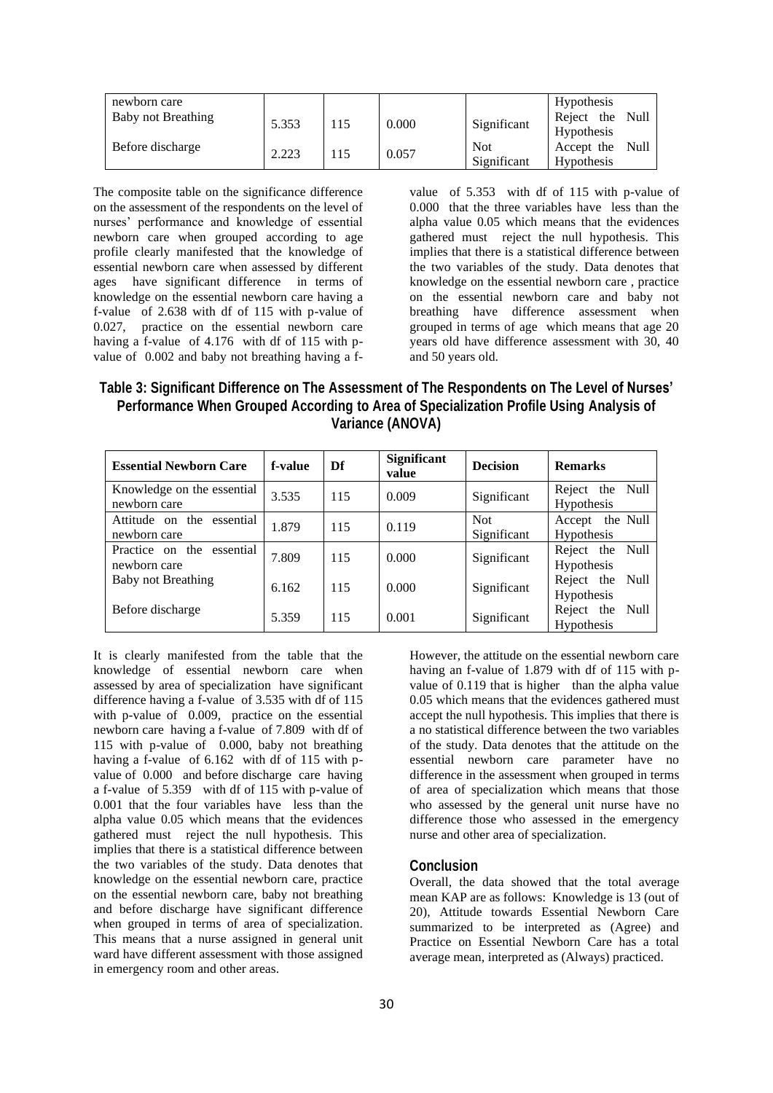| newborn care       |       |     |       |             | Hypothesis        |      |
|--------------------|-------|-----|-------|-------------|-------------------|------|
| Baby not Breathing | 5.353 | 115 | 0.000 | Significant | Reject the        | Null |
|                    |       |     |       |             | <b>Hypothesis</b> |      |
| Before discharge   | 2.223 | 115 | 0.057 | <b>Not</b>  | Accept the        | Null |
|                    |       |     |       | Significant | Hypothesis        |      |

The composite table on the significance difference on the assessment of the respondents on the level of nurses' performance and knowledge of essential newborn care when grouped according to age profile clearly manifested that the knowledge of essential newborn care when assessed by different ages have significant difference in terms of knowledge on the essential newborn care having a f-value of 2.638 with df of 115 with p-value of 0.027, practice on the essential newborn care having a f-value of 4.176 with df of 115 with pvalue of 0.002 and baby not breathing having a fvalue of 5.353 with df of 115 with p-value of 0.000 that the three variables have less than the alpha value 0.05 which means that the evidences gathered must reject the null hypothesis. This implies that there is a statistical difference between the two variables of the study. Data denotes that knowledge on the essential newborn care , practice on the essential newborn care and baby not breathing have difference assessment when grouped in terms of age which means that age 20 years old have difference assessment with 30, 40 and 50 years old.

**Table 3: Significant Difference on The Assessment of The Respondents on The Level of Nurses' Performance When Grouped According to Area of Specialization Profile Using Analysis of Variance (ANOVA)**

| <b>Essential Newborn Care</b>              | f-value | Df  | <b>Significant</b><br>value | <b>Decision</b>           | <b>Remarks</b>                          |
|--------------------------------------------|---------|-----|-----------------------------|---------------------------|-----------------------------------------|
| Knowledge on the essential<br>newborn care | 3.535   | 115 | 0.009                       | Significant               | Reject the Null<br><b>Hypothesis</b>    |
| Attitude on the essential<br>newborn care  | 1.879   | 115 | 0.119                       | <b>Not</b><br>Significant | the Null<br>Accept<br><b>Hypothesis</b> |
| Practice on the essential<br>newborn care  | 7.809   | 115 | 0.000                       | Significant               | Reject the Null<br>Hypothesis           |
| Baby not Breathing                         | 6.162   | 115 | 0.000                       | Significant               | Reject the Null<br>Hypothesis           |
| Before discharge                           | 5.359   | 115 | 0.001                       | Significant               | Reject the Null<br><b>Hypothesis</b>    |

It is clearly manifested from the table that the knowledge of essential newborn care when assessed by area of specialization have significant difference having a f-value of 3.535 with df of 115 with p-value of 0.009, practice on the essential newborn care having a f-value of 7.809 with df of 115 with p-value of 0.000, baby not breathing having a f-value of 6.162 with df of 115 with pvalue of 0.000 and before discharge care having a f-value of 5.359 with df of 115 with p-value of 0.001 that the four variables have less than the alpha value 0.05 which means that the evidences gathered must reject the null hypothesis. This implies that there is a statistical difference between the two variables of the study. Data denotes that knowledge on the essential newborn care, practice on the essential newborn care, baby not breathing and before discharge have significant difference when grouped in terms of area of specialization. This means that a nurse assigned in general unit ward have different assessment with those assigned in emergency room and other areas.

However, the attitude on the essential newborn care having an f-value of 1.879 with df of 115 with pvalue of 0.119 that is higher than the alpha value 0.05 which means that the evidences gathered must accept the null hypothesis. This implies that there is a no statistical difference between the two variables of the study. Data denotes that the attitude on the essential newborn care parameter have no difference in the assessment when grouped in terms of area of specialization which means that those who assessed by the general unit nurse have no difference those who assessed in the emergency nurse and other area of specialization.

#### **Conclusion**

Overall, the data showed that the total average mean KAP are as follows: Knowledge is 13 (out of 20), Attitude towards Essential Newborn Care summarized to be interpreted as (Agree) and Practice on Essential Newborn Care has a total average mean, interpreted as (Always) practiced.